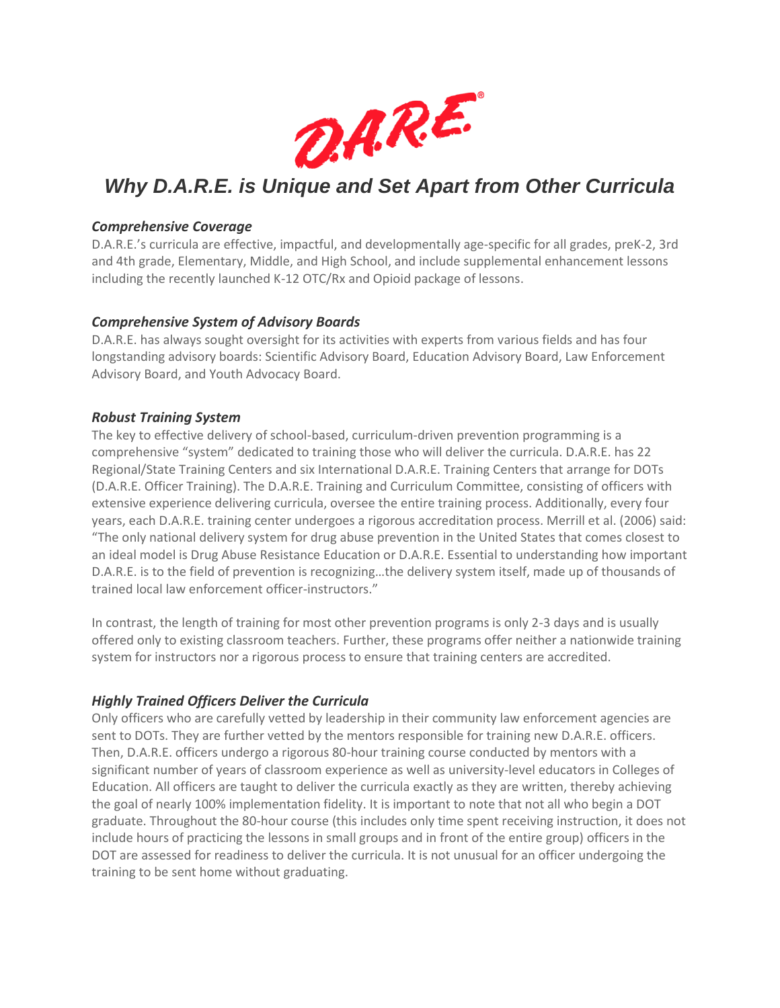

# *Why D.A.R.E. is Unique and Set Apart from Other Curricula* p

# *Comprehensive Coverage*

D.A.R.E.'s curricula are effective, impactful, and developmentally age-specific for all grades, preK-2, 3rd and 4th grade, Elementary, Middle, and High School, and include supplemental enhancement lessons including the recently launched K-12 OTC/Rx and Opioid package of lessons.

# *Comprehensive System of Advisory Boards*

D.A.R.E. has always sought oversight for its activities with experts from various fields and has four longstanding advisory boards: Scientific Advisory Board, Education Advisory Board, Law Enforcement Advisory Board, and Youth Advocacy Board.

### *Robust Training System*

The key to effective delivery of school-based, curriculum-driven prevention programming is a comprehensive "system" dedicated to training those who will deliver the curricula. D.A.R.E. has 22 Regional/State Training Centers and six International D.A.R.E. Training Centers that arrange for DOTs (D.A.R.E. Officer Training). The D.A.R.E. Training and Curriculum Committee, consisting of officers with extensive experience delivering curricula, oversee the entire training process. Additionally, every four years, each D.A.R.E. training center undergoes a rigorous accreditation process. Merrill et al. (2006) said: "The only national delivery system for drug abuse prevention in the United States that comes closest to an ideal model is Drug Abuse Resistance Education or D.A.R.E. Essential to understanding how important D.A.R.E. is to the field of prevention is recognizing…the delivery system itself, made up of thousands of trained local law enforcement officer-instructors."

In contrast, the length of training for most other prevention programs is only 2-3 days and is usually offered only to existing classroom teachers. Further, these programs offer neither a nationwide training system for instructors nor a rigorous process to ensure that training centers are accredited.

# *Highly Trained Officers Deliver the Curricula*

Only officers who are carefully vetted by leadership in their community law enforcement agencies are sent to DOTs. They are further vetted by the mentors responsible for training new D.A.R.E. officers. Then, D.A.R.E. officers undergo a rigorous 80-hour training course conducted by mentors with a significant number of years of classroom experience as well as university-level educators in Colleges of Education. All officers are taught to deliver the curricula exactly as they are written, thereby achieving the goal of nearly 100% implementation fidelity. It is important to note that not all who begin a DOT graduate. Throughout the 80-hour course (this includes only time spent receiving instruction, it does not include hours of practicing the lessons in small groups and in front of the entire group) officers in the DOT are assessed for readiness to deliver the curricula. It is not unusual for an officer undergoing the training to be sent home without graduating.